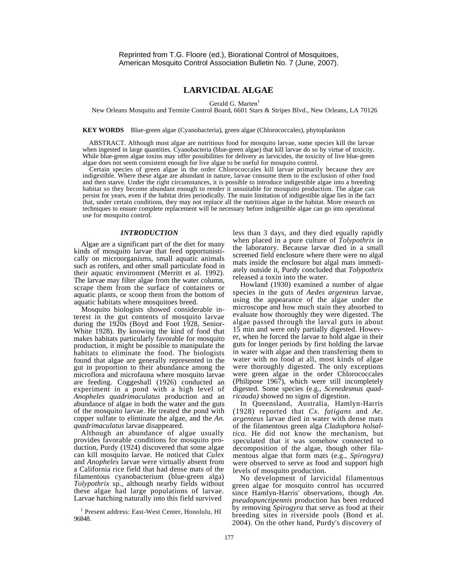# **LARVICIDAL ALGAE**

Gerald G. Marten<sup>1</sup>

New Orleans Mosquito and Termite Control Board, 6601 Stars & Stripes Blvd., New Orleans, LA 70126

#### **KEY WORDS** Blue-green algae (Cyanobacteria), green algae (Chlorococcales), phytoplankton

ABSTRACT. Although most algae are nutritious food for mosquito larvae, some species kill the larvae when ingested in large quantities. Cyanobacteria (blue-green algae) that kill larvae do so by virtue of toxicity. While blue-green algae toxins may offer possibilities for delivery as larvicides, the toxicity of live blue-green algae does not seem consistent enough for live algae to be useful for mosquito control.

Certain species of green algae in the order Chlorococcales kill larvae primarily because they are indigestible. Where these algae are abundant in nature, larvae consume them to the exclusion of other food and then starve. Under the right circumstances, it is possible to introduce indigestible algae into a breeding habitat so they become abundant enough to render it unsuitable for mosquito production. The algae can persist for years, even if the habitat dries periodically. The main limitation of indigestible algae lies in the fact that, under certain conditions, they may not replace all the nutritious algae in the habitat. More research on techniques to ensure complete replacement will be necessary before indigestible algae can go into operational use for mosquito control.

## *INTRODUCTION*

Algae are a significant part of the diet for many kinds of mosquito larvae that feed opportunistically on microorganisms, small aquatic animals such as rotifers, and other small particulate food in their aquatic environment (Merritt et al. 1992). The larvae may filter algae from the water column, scrape them from the surface of containers or aquatic plants, or scoop them from the bottom of aquatic habitats where mosquitoes breed.

Mosquito biologists showed considerable interest in the gut contents of mosquito larvae during the 1920s (Boyd and Foot 1928, Senior-White 1928). By knowing the kind of food that makes habitats particularly favorable for mosquito production, it might be possible to manipulate the habitats to eliminate the food. The biologists found that algae are generally represented in the gut in proportion to their abundance among the microflora and microfauna where mosquito larvae are feeding. Coggeshall (1926) conducted an experiment in a pond with a high level of *Anopheles quadrimaculatus* production and an abundance of algae in both the water and the guts of the mosquito larvae. He treated the pond with copper sulfate to eliminate the algae, and the *An. quadrimaculatus* larvae disappeared.

Although an abundance of algae usually provides favorable conditions for mosquito production, Purdy (1924) discovered that some algae can kill mosquito larvae. He noticed that *Culex*  and *Anopheles* larvae were virtually absent from a California rice field that had dense mats of the filamentous cyanobacterium (blue-green alga) *Tolypothrix* sp., although nearby fields without these algae had large populations of larvae. Larvae hatching naturally into this field survived

1 Present address: East-West Center, Honolulu, HI 96848.

less than 3 days, and they died equally rapidly when placed in a pure culture of *Tolypothrix* in the laboratory. Because larvae died in a small screened field enclosure where there were no algal mats inside the enclosure but algal mats immediately outside it, Purdy concluded that *Tolypothrix*  released a toxin into the water.

Howland (1930) examined a number of algae species in the guts of *Aedes argenteus* larvae, using the appearance of the algae under the microscope and how much stain they absorbed to evaluate how thoroughly they were digested. The algae passed through the larval guts in about 15 min and were only partially digested. However, when he forced the larvae to hold algae in their guts for longer periods by first holding the larvae in water with algae and then transferring them to water with no food at all, most kinds of algae were thoroughly digested. The only exceptions were green algae in the order Chlorococcales (Philipose 1967), which were still incompletely digested. Some species (e.g., *Scenedesmus quadricauda)* showed no signs of digestion.

In Queensland, Australia, Hamlyn-Harris (1928) reported that *Cx. fatigans* and *Ae. argenteus* larvae died in water with dense mats of the filamentous green alga *Cladophora holsaltica.* He did not know the mechanism, but speculated that it was somehow connected to decomposition of the algae, though other filamentous algae that form mats (e.g., *Spirogyra)*  were observed to serve as food and support high levels of mosquito production.

No development of larvicidal filamentous green algae for mosquito control has occurred since Hamlyn-Harris' observations, though *An. pseudopunctipennis* production has been reduced by removing *Spirogyra* that serve as food at their breeding sites in riverside pools (Bond et al. 2004). On the other hand, Purdy's discovery of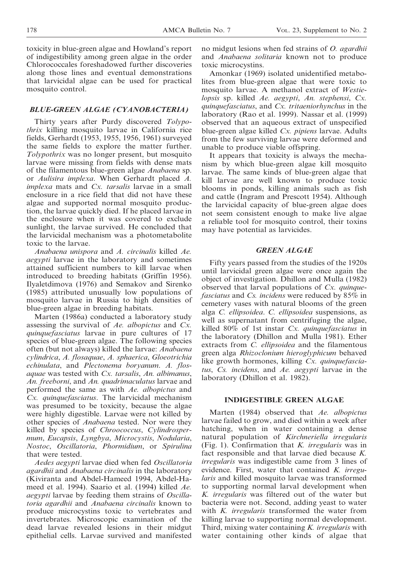toxicity in blue-green algae and Howland's report of indigestibility among green algae in the order Chlorococcales foreshadowed further discoveries along those lines and eventual demonstrations that larvicidal algae can be used for practical mosquito control.

## BLUE-GREEN ALGAE (CYANOBACTERIA)

Thirty years after Purdy discovered Tolypothrix killing mosquito larvae in California rice fields, Gerhardt (1953, 1955, 1956, 1961) surveyed the same fields to explore the matter further. Tolypothrix was no longer present, but mosquito larvae were missing from fields with dense mats of the filamentous blue-green algae Anabaena sp. or Aulisira implexa. When Gerhardt placed A. implexa mats and Cx. tarsalis larvae in a small enclosure in a rice field that did not have these algae and supported normal mosquito production, the larvae quickly died. If he placed larvae in the enclosure when it was covered to exclude sunlight, the larvae survived. He concluded that the larvicidal mechanism was a photometabolite toxic to the larvae.

Anabaena unispora and A. circinalis killed Ae. aegypti larvae in the laboratory and sometimes attained sufficient numbers to kill larvae when introduced to breeding habitats (Griffin 1956). Ilyaletdimova (1976) and Semakov and Sirenko (1985) attributed unusually low populations of mosquito larvae in Russia to high densities of blue-green algae in breeding habitats.

Marten (1986a) conducted a laboratory study assessing the survival of Ae. albopictus and Cx. quinquefasciatus larvae in pure cultures of 17 species of blue-green algae. The following species often (but not always) killed the larvae: Anabaena cylindrica, A. flosaquae, A. sphaerica, Gloeotrichia echinulata, and Plectonema boryanum. A. flosaquae was tested with Cx. tarsalis, An. albimanus, An. freeborni, and An. quadrimaculatus larvae and performed the same as with Ae. albopictus and Cx. quinquefasciatus. The larvicidal mechanism was presumed to be toxicity, because the algae were highly digestible. Larvae were not killed by other species of Anabaena tested. Nor were they killed by species of Chroococcus, Cylindrospermum, Eucapsis, Lyngbya, Microcystis, Nodularia, Nostoc, Oscillatoria, Phormidium, or Spirulina that were tested.

Aedes aegypti larvae died when fed Oscillatoria agardhii and Anabaena circinalis in the laboratory (Kiviranta and Abdel-Hameed 1994, Abdel-Hameed et al. 1994). Saario et al. (1994) killed Ae. aegypti larvae by feeding them strains of Oscillatoria agardhii and Anabaena circinalis known to produce microcystins toxic to vertebrates and invertebrates. Microscopic examination of the dead larvae revealed lesions in their midgut epithelial cells. Larvae survived and manifested no midgut lesions when fed strains of O. agardhii and Anabaena solitaria known not to produce toxic microcystins.

Amonkar (1969) isolated unidentified metabolites from blue-green algae that were toxic to mosquito larvae. A methanol extract of Westielopsis sp. killed Ae. aegypti, An. stephensi, Cx. quinquefasciatus, and Cx. tritaeniorhynchus in the laboratory (Rao et al. 1999). Nassar et al. (1999) observed that an aqueous extract of unspecified blue-green algae killed Cx. pipiens larvae. Adults from the few surviving larvae were deformed and unable to produce viable offspring.

It appears that toxicity is always the mechanism by which blue-green algae kill mosquito larvae. The same kinds of blue-green algae that kill larvae are well known to produce toxic blooms in ponds, killing animals such as fish and cattle (Ingram and Prescott 1954). Although the larvicidal capacity of blue-green algae does not seem consistent enough to make live algae a reliable tool for mosquito control, their toxins may have potential as larvicides.

# GREEN ALGAE

Fifty years passed from the studies of the 1920s until larvicidal green algae were once again the object of investigation. Dhillon and Mulla (1982) observed that larval populations of Cx. quinquefasciatus and Cs. incidens were reduced by 85% in cemetery vases with natural blooms of the green alga C. ellipsoidea. C. ellipsoidea suspensions, as well as supernatant from centrifuging the algae, killed 80% of 1st instar Cx. quinquefasciatus in the laboratory (Dhillon and Mulla 1981). Ether extracts from C. ellipsoidea and the filamentous green alga Rhizoclonium hieroglyphicum behaved like growth hormones, killing Cx. quinquefasciatus, Cs. incidens, and Ae. aegypti larvae in the laboratory (Dhillon et al. 1982).

### INDIGESTIBLE GREEN ALGAE

Marten (1984) observed that Ae. albopictus larvae failed to grow, and died within a week after hatching, when in water containing a dense natural population of Kirchneriella irregularis (Fig. 1). Confirmation that  $K$ . irregularis was in fact responsible and that larvae died because K. irregularis was indigestible came from 3 lines of evidence. First, water that contained  $K$ . irregularis and killed mosquito larvae was transformed to supporting normal larval development when K. irregularis was filtered out of the water but bacteria were not. Second, adding yeast to water with K. *irregularis* transformed the water from killing larvae to supporting normal development. Third, mixing water containing  $K$  irregularis with water containing other kinds of algae that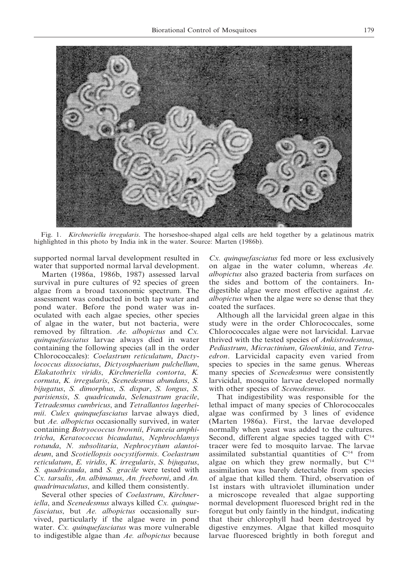

Fig. 1. Kirchneriella irregularis. The horseshoe-shaped algal cells are held together by a gelatinous matrix highlighted in this photo by India ink in the water. Source: Marten (1986b).

supported normal larval development resulted in water that supported normal larval development.

Marten (1986a, 1986b, 1987) assessed larval survival in pure cultures of 92 species of green algae from a broad taxonomic spectrum. The assessment was conducted in both tap water and pond water. Before the pond water was inoculated with each algae species, other species of algae in the water, but not bacteria, were removed by filtration. Ae. albopictus and Cx. quinquefasciatus larvae always died in water containing the following species (all in the order Chlorococcales): Coelastrum reticulatum, Dactylococcus dissociatus, Dictyosphaerium pulchellum, Elakatothrix viridis, Kirchneriella contorta, K. cornuta, K. irregularis, Scenedesmus abundans, S. bijugatus, S. dimorphus, S. dispar, S. longus, S. parisiensis, S. quadricauda, Selenastrum gracile, Tetradesmus cumbricus, and Tetrallantos lagerheimii. Culex quinquefasciatus larvae always died, but Ae. albopictus occasionally survived, in water containing Botryococcus brownii, Franceia amphitricha, Keratococcus bicaudatus, Nephrochlamys rotunda, N. subsolitaria, Nephrocytium alantoideum, and Scotiellopsis oocystiformis. Coelastrum reticulatum, E. viridis, K. irregularis, S. bijugatus, S. quadricauda, and S. gracile were tested with Cx. tarsalis, An. albimanus, An. freeborni, and An. quadrimaculatus, and killed them consistently.

Several other species of Coelastrum, Kirchneriella, and Scenedesmus always killed Cx. quinquefasciatus, but Ae. albopictus occasionally survived, particularly if the algae were in pond water. Cx. quinquefasciatus was more vulnerable to indigestible algae than Ae. albopictus because

Cx. quinquefasciatus fed more or less exclusively on algae in the water column, whereas Ae. albopictus also grazed bacteria from surfaces on the sides and bottom of the containers. Indigestible algae were most effective against Ae. albopictus when the algae were so dense that they coated the surfaces.

Although all the larvicidal green algae in this study were in the order Chlorococcales, some Chlorococcales algae were not larvicidal. Larvae thrived with the tested species of Ankistrodesmus, Pediastrum, Micractinium, Gloenkinia, and Tetraedron. Larvicidal capacity even varied from species to species in the same genus. Whereas many species of Scenedesmus were consistently larvicidal, mosquito larvae developed normally with other species of *Scenedesmus*.

That indigestibility was responsible for the lethal impact of many species of Chlorococcales algae was confirmed by 3 lines of evidence (Marten 1986a). First, the larvae developed normally when yeast was added to the cultures. Second, different algae species tagged with  $C<sup>14</sup>$ tracer were fed to mosquito larvae. The larvae assimilated substantial quantities of C14 from algae on which they grew normally, but  $C<sup>14</sup>$ assimilation was barely detectable from species of algae that killed them. Third, observation of 1st instars with ultraviolet illumination under a microscope revealed that algae supporting normal development fluoresced bright red in the foregut but only faintly in the hindgut, indicating that their chlorophyll had been destroyed by digestive enzymes. Algae that killed mosquito larvae fluoresced brightly in both foregut and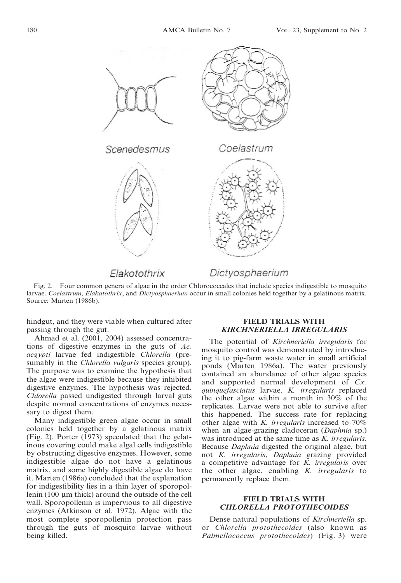

Fig. 2. Four common genera of algae in the order Chlorococcales that include species indigestible to mosquito larvae. Coelastrum, Elakatothrix, and Dictyosphaerium occur in small colonies held together by a gelatinous matrix. Source: Marten (1986b).

hindgut, and they were viable when cultured after passing through the gut.

Ahmad et al. (2001, 2004) assessed concentrations of digestive enzymes in the guts of Ae. aegypti larvae fed indigestible Chlorella (presumably in the *Chlorella vulgaris* species group). The purpose was to examine the hypothesis that the algae were indigestible because they inhibited digestive enzymes. The hypothesis was rejected. Chlorella passed undigested through larval guts despite normal concentrations of enzymes necessary to digest them.

Many indigestible green algae occur in small colonies held together by a gelatinous matrix (Fig. 2). Porter (1973) speculated that the gelatinous covering could make algal cells indigestible by obstructing digestive enzymes. However, some indigestible algae do not have a gelatinous matrix, and some highly digestible algae do have it. Marten (1986a) concluded that the explanation for indigestibility lies in a thin layer of sporopollenin  $(100 \mu m)$  thick) around the outside of the cell wall. Sporopollenin is impervious to all digestive enzymes (Atkinson et al. 1972). Algae with the most complete sporopollenin protection pass through the guts of mosquito larvae without being killed.

## FIELD TRIALS WITH KIRCHNERIELLA IRREGULARIS

The potential of Kirchneriella irregularis for mosquito control was demonstrated by introducing it to pig-farm waste water in small artificial ponds (Marten 1986a). The water previously contained an abundance of other algae species and supported normal development of Cx. quinquefasciatus larvae. K. irregularis replaced the other algae within a month in 30% of the replicates. Larvae were not able to survive after this happened. The success rate for replacing other algae with  $K$ . *irregularis* increased to 70% when an algae-grazing cladoceran (Daphnia sp.) was introduced at the same time as *K*. *irregularis*. Because Daphnia digested the original algae, but not K. irregularis, Daphnia grazing provided a competitive advantage for K. irregularis over the other algae, enabling  $K$ . *irregularis* to permanently replace them.

# FIELD TRIALS WITH CHLORELLA PROTOTHECOIDES

Dense natural populations of Kirchneriella sp. or Chlorella protothecoides (also known as Palmellococcus protothecoides) (Fig. 3) were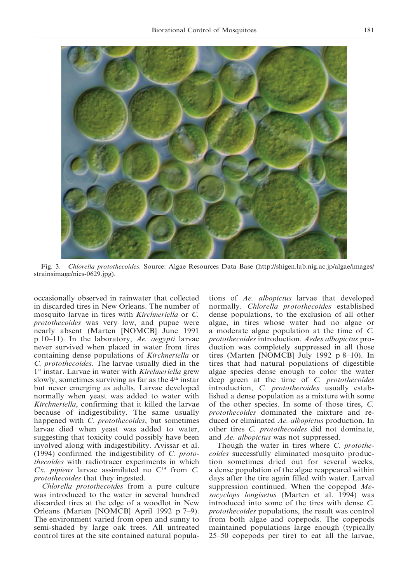

Fig. 3. Chlorella protothecoides. Source: Algae Resources Data Base (http://shigen.lab.nig.ac.jp/algae/images/ strainsimage/nies-0629.jpg).

occasionally observed in rainwater that collected in discarded tires in New Orleans. The number of mosquito larvae in tires with Kirchneriella or C. protothecoides was very low, and pupae were nearly absent (Marten [NOMCB] June 1991 p 10–11). In the laboratory, Ae. aegypti larvae never survived when placed in water from tires containing dense populations of Kirchneriella or C. protothecoides. The larvae usually died in the 1<sup>st</sup> instar. Larvae in water with Kirchneriella grew slowly, sometimes surviving as far as the 4<sup>th</sup> instar but never emerging as adults. Larvae developed normally when yeast was added to water with Kirchneriella, confirming that it killed the larvae because of indigestibility. The same usually happened with C. protothecoides, but sometimes larvae died when yeast was added to water, suggesting that toxicity could possibly have been involved along with indigestibility. Avissar et al. (1994) confirmed the indigestibility of C. protothecoides with radiotracer experiments in which Cx. pipiens larvae assimilated no  $C<sup>14</sup>$  from C. protothecoides that they ingested.

Chlorella protothecoides from a pure culture was introduced to the water in several hundred discarded tires at the edge of a woodlot in New Orleans (Marten [NOMCB] April 1992 p 7–9). The environment varied from open and sunny to semi-shaded by large oak trees. All untreated control tires at the site contained natural popula-

tions of Ae. albopictus larvae that developed normally. Chlorella protothecoides established dense populations, to the exclusion of all other algae, in tires whose water had no algae or a moderate algae population at the time of C. protothecoides introduction. Aedes albopictus production was completely suppressed in all those tires (Marten [NOMCB] July 1992 p 8–10). In tires that had natural populations of digestible algae species dense enough to color the water deep green at the time of C. protothecoides introduction, C. protothecoides usually established a dense population as a mixture with some of the other species. In some of those tires, C. protothecoides dominated the mixture and reduced or eliminated Ae. albopictus production. In other tires C. protothecoides did not dominate, and Ae. albopictus was not suppressed.

Though the water in tires where C. protothecoides successfully eliminated mosquito production sometimes dried out for several weeks, a dense population of the algae reappeared within days after the tire again filled with water. Larval suppression continued. When the copepod Mesocyclops longisetus (Marten et al. 1994) was introduced into some of the tires with dense C. protothecoides populations, the result was control from both algae and copepods. The copepods maintained populations large enough (typically 25–50 copepods per tire) to eat all the larvae,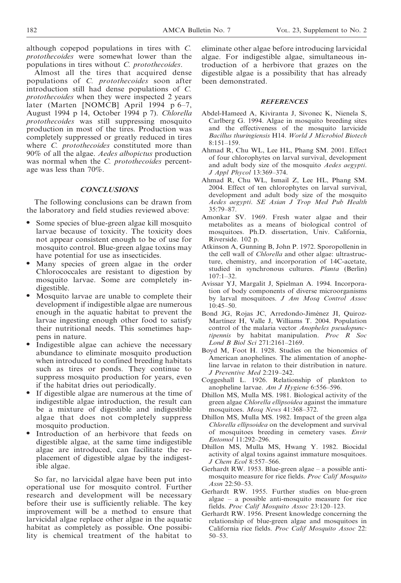although copepod populations in tires with C. protothecoides were somewhat lower than the populations in tires without C. protothecoides.

Almost all the tires that acquired dense populations of *C. protothecoides* soon after introduction still had dense populations of C. protothecoides when they were inspected 2 years later (Marten [NOMCB] April 1994 p 6–7, August 1994 p 14, October 1994 p 7). Chlorella protothecoides was still suppressing mosquito production in most of the tires. Production was completely suppressed or greatly reduced in tires where *C. protothecoides* constituted more than 90% of all the algae. Aedes albopictus production was normal when the C. protothecoides percentage was less than 70%.

#### **CONCLUSIONS**

The following conclusions can be drawn from the laboratory and field studies reviewed above:

- Some species of blue-green algae kill mosquito larvae because of toxicity. The toxicity does not appear consistent enough to be of use for mosquito control. Blue-green algae toxins may have potential for use as insecticides.
- Many species of green algae in the order Chlorococcales are resistant to digestion by mosquito larvae. Some are completely indigestible.
- N Mosquito larvae are unable to complete their development if indigestible algae are numerous enough in the aquatic habitat to prevent the larvae ingesting enough other food to satisfy their nutritional needs. This sometimes happens in nature.
- Indigestible algae can achieve the necessary abundance to eliminate mosquito production when introduced to confined breeding habitats such as tires or ponds. They continue to suppress mosquito production for years, even if the habitat dries out periodically.
- If digestible algae are numerous at the time of indigestible algae introduction, the result can be a mixture of digestible and indigestible algae that does not completely suppress mosquito production.
- Introduction of an herbivore that feeds on digestible algae, at the same time indigestible algae are introduced, can facilitate the replacement of digestible algae by the indigestible algae.

So far, no larvicidal algae have been put into operational use for mosquito control. Further research and development will be necessary before their use is sufficiently reliable. The key improvement will be a method to ensure that larvicidal algae replace other algae in the aquatic habitat as completely as possible. One possibility is chemical treatment of the habitat to

eliminate other algae before introducing larvicidal algae. For indigestible algae, simultaneous introduction of a herbivore that grazes on the digestible algae is a possibility that has already been demonstrated.

#### **REFERENCES**

- Abdel-Hameed A, Kiviranta J, Sivonec K, Nienela S, Carlberg G. 1994. Algae in mosquito breeding sites and the effectiveness of the mosquito larvicide Bacillus thuringiensis H14. World J Microbiol Biotech 8:151–159.
- Ahmad R, Chu WL, Lee HL, Phang SM. 2001. Effect of four chlorophytes on larval survival, development and adult body size of the mosquito Aedes aegypti. J Appl Phycol 13:369–374.
- Ahmad R, Chu WL, Ismail Z, Lee HL, Phang SM. 2004. Effect of ten chlorophytes on larval survival, development and adult body size of the mosquito Aedes aegypti. SE Asian J Trop Med Pub Health 35:79–87.
- Amonkar SV. 1969. Fresh water algae and their metabolites as a means of biological control of mosquitoes. Ph.D. dissertation, Univ. California, Riverside. 102 p.
- Atkinson A, Gunning B, John P. 1972. Sporopollenin in the cell wall of Chlorella and other algae: ultrastructure, chemistry, and incorporation of 14C-acetate, studied in synchronous cultures. Planta (Berlin) 107:1–32.
- Avissar YJ, Margalit J, Spielman A. 1994. Incorporation of body components of diverse microorganisms by larval mosquitoes. J Am Mosq Control Assoc 10:45–50.
- Bond JG, Rojas JC, Arredondo-Jiménez JI, Quiroz-Martínez H, Valle J, Williams T. 2004. Population control of the malaria vector Anopheles pseudopunctipennis by habitat manipulation. Proc R Soc Lond B Biol Sci 271:2161–2169.
- Boyd M, Foot H. 1928. Studies on the bionomics of American anophelines. The alimentation of anopheline larvae in relaton to their distribution in nature. J Preventive Med 2:219–242.
- Coggeshall L. 1926. Relationship of plankton to anopheline larvae. Am J Hygiene 6:556-596.
- Dhillon MS, Mulla MS. 1981. Biological activity of the green algae Chlorella ellipsoidea against the immature mosquitoes. Mosq News 41:368–372.
- Dhillon MS, Mulla MS. 1982. Impact of the green alga Chlorella ellipsoidea on the development and survival of mosquitoes breeding in cemetery vases. Envir Entomol 11:292–296.
- Dhillon MS, Mulla MS, Hwang Y. 1982. Biocidal activity of algal toxins against immature mosquitoes. J Chem Ecol 8:557–566.
- Gerhardt RW. 1953. Blue-green algae a possible antimosquito measure for rice fields. Proc Calif Mosquito Assn 22:50–53.
- Gerhardt RW. 1955. Further studies on blue-green algae – a possible anti-mosquito measure for rice fields. Proc Calif Mosquito Assoc 23:120–123.
- Gerhardt RW. 1956. Present knowledge concerning the relationship of blue-green algae and mosquitoes in California rice fields. Proc Calif Mosquito Assoc 22: 50–53.